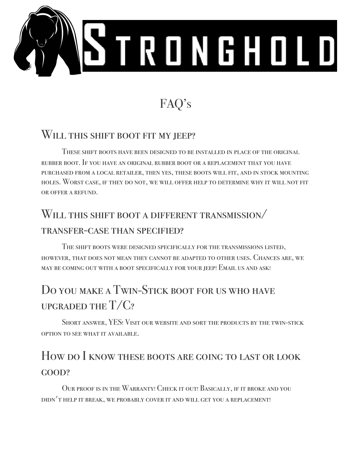

# FAQ's

#### WILL THIS SHIFT BOOT FIT MY JEEP?

These shift boots have been designed to be installed in place of the original rubber boot. If you have an original rubber boot or a replacement that you have purchased from a local retailer, then yes, these boots will fit, and in stock mounting holes. Worst case, if they do not, we will offer help to determine why it will not fit or offer a refund.

## Will this shift boot a different transmission/ transfer-case than specified?

The shift boots were designed specifically for the transmissions listed, however, that does not mean they cannot be adapted to other uses. Chances are, we may be coming out with a boot specifically for your jeep! Email us and ask!

## Do you make a Twin-Stick boot for us who have UPGRADED THE  $T/C$ ?

Short answer, YES! Visit our website and sort the products by the twin-stick option to see what it available.

### How do I know these boots are going to last or look GOOD?

Our proof is in the Warranty! Check it out! Basically, if it broke and you didn't help it break, we probably cover it and will get you a replacement!